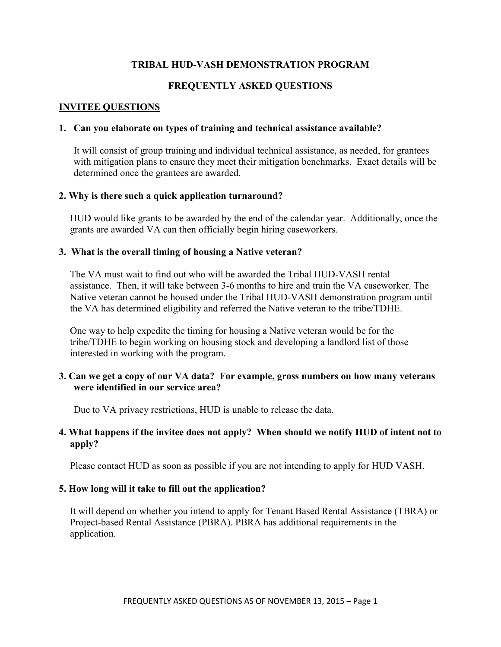### **TRIBAL HUD-VASH DEMONSTRATION PROGRAM**

### **FREQUENTLY ASKED QUESTIONS**

#### **INVITEE QUESTIONS**

#### **1. Can you elaborate on types of training and technical assistance available?**

It will consist of group training and individual technical assistance, as needed, for grantees with mitigation plans to ensure they meet their mitigation benchmarks. Exact details will be determined once the grantees are awarded.

#### **2. Why is there such a quick application turnaround?**

HUD would like grants to be awarded by the end of the calendar year. Additionally, once the grants are awarded VA can then officially begin hiring caseworkers.

#### **3. What is the overall timing of housing a Native veteran?**

The VA must wait to find out who will be awarded the Tribal HUD-VASH rental assistance. Then, it will take between 3-6 months to hire and train the VA caseworker. The Native veteran cannot be housed under the Tribal HUD-VASH demonstration program until the VA has determined eligibility and referred the Native veteran to the tribe/TDHE.

One way to help expedite the timing for housing a Native veteran would be for the tribe/TDHE to begin working on housing stock and developing a landlord list of those interested in working with the program.

#### **3. Can we get a copy of our VA data? For example, gross numbers on how many veterans were identified in our service area?**

Due to VA privacy restrictions, HUD is unable to release the data.

#### **4. What happens if the invitee does not apply? When should we notify HUD of intent not to apply?**

Please contact HUD as soon as possible if you are not intending to apply for HUD VASH.

#### **5. How long will it take to fill out the application?**

It will depend on whether you intend to apply for Tenant Based Rental Assistance (TBRA) or Project-based Rental Assistance (PBRA). PBRA has additional requirements in the application.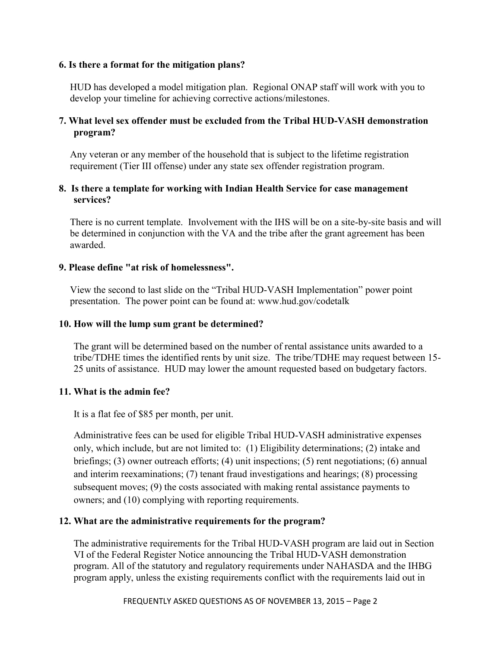#### **6. Is there a format for the mitigation plans?**

HUD has developed a model mitigation plan. Regional ONAP staff will work with you to develop your timeline for achieving corrective actions/milestones.

## **7. What level sex offender must be excluded from the Tribal HUD-VASH demonstration program?**

Any veteran or any member of the household that is subject to the lifetime registration requirement (Tier III offense) under any state sex offender registration program.

### **8. Is there a template for working with Indian Health Service for case management services?**

There is no current template. Involvement with the IHS will be on a site-by-site basis and will be determined in conjunction with the VA and the tribe after the grant agreement has been awarded.

### **9. Please define "at risk of homelessness".**

View the second to last slide on the "Tribal HUD-VASH Implementation" power point presentation. The power point can be found at: www.hud.gov/codetalk

### **10. How will the lump sum grant be determined?**

The grant will be determined based on the number of rental assistance units awarded to a tribe/TDHE times the identified rents by unit size. The tribe/TDHE may request between 15- 25 units of assistance. HUD may lower the amount requested based on budgetary factors.

## **11. What is the admin fee?**

It is a flat fee of \$85 per month, per unit.

Administrative fees can be used for eligible Tribal HUD-VASH administrative expenses only, which include, but are not limited to: (1) Eligibility determinations; (2) intake and briefings; (3) owner outreach efforts; (4) unit inspections; (5) rent negotiations; (6) annual and interim reexaminations; (7) tenant fraud investigations and hearings; (8) processing subsequent moves; (9) the costs associated with making rental assistance payments to owners; and (10) complying with reporting requirements.

## **12. What are the administrative requirements for the program?**

The administrative requirements for the Tribal HUD-VASH program are laid out in Section VI of the Federal Register Notice announcing the Tribal HUD-VASH demonstration program. All of the statutory and regulatory requirements under NAHASDA and the IHBG program apply, unless the existing requirements conflict with the requirements laid out in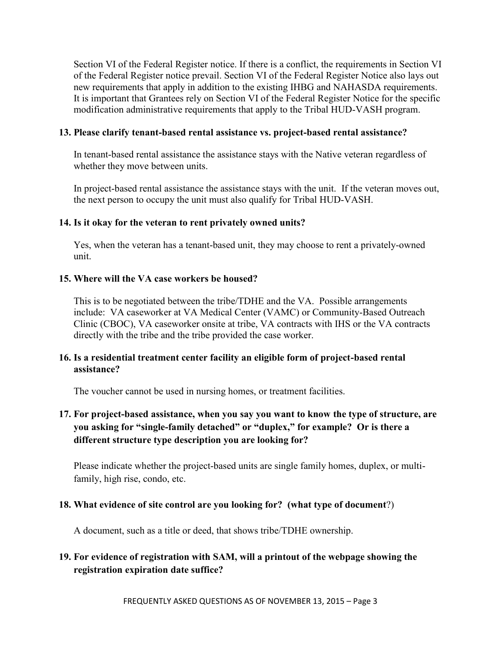Section VI of the Federal Register notice. If there is a conflict, the requirements in Section VI of the Federal Register notice prevail. Section VI of the Federal Register Notice also lays out new requirements that apply in addition to the existing IHBG and NAHASDA requirements. It is important that Grantees rely on Section VI of the Federal Register Notice for the specific modification administrative requirements that apply to the Tribal HUD-VASH program.

### **13. Please clarify tenant-based rental assistance vs. project-based rental assistance?**

In tenant-based rental assistance the assistance stays with the Native veteran regardless of whether they move between units.

In project-based rental assistance the assistance stays with the unit. If the veteran moves out, the next person to occupy the unit must also qualify for Tribal HUD-VASH.

### **14. Is it okay for the veteran to rent privately owned units?**

Yes, when the veteran has a tenant-based unit, they may choose to rent a privately-owned unit.

### **15. Where will the VA case workers be housed?**

This is to be negotiated between the tribe/TDHE and the VA. Possible arrangements include: VA caseworker at VA Medical Center (VAMC) or Community-Based Outreach Clinic (CBOC), VA caseworker onsite at tribe, VA contracts with IHS or the VA contracts directly with the tribe and the tribe provided the case worker.

### **16. Is a residential treatment center facility an eligible form of project-based rental assistance?**

The voucher cannot be used in nursing homes, or treatment facilities.

# **17. For project-based assistance, when you say you want to know the type of structure, are you asking for "single-family detached" or "duplex," for example? Or is there a different structure type description you are looking for?**

Please indicate whether the project-based units are single family homes, duplex, or multifamily, high rise, condo, etc.

## **18. What evidence of site control are you looking for? (what type of document**?)

A document, such as a title or deed, that shows tribe/TDHE ownership.

# **19. For evidence of registration with SAM, will a printout of the webpage showing the registration expiration date suffice?**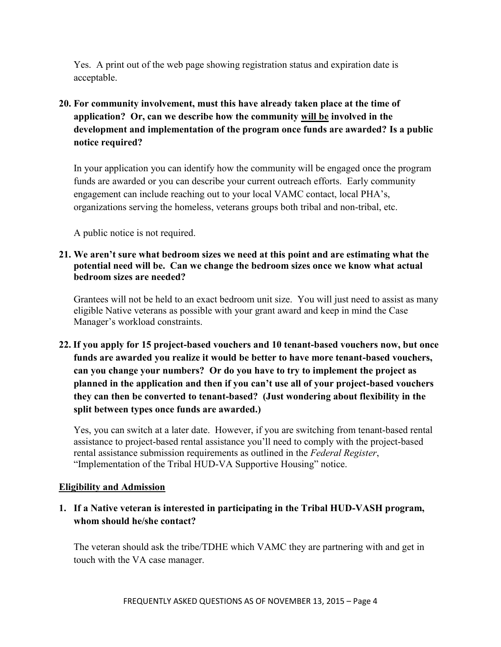Yes. A print out of the web page showing registration status and expiration date is acceptable.

# **20. For community involvement, must this have already taken place at the time of application? Or, can we describe how the community will be involved in the development and implementation of the program once funds are awarded? Is a public notice required?**

In your application you can identify how the community will be engaged once the program funds are awarded or you can describe your current outreach efforts. Early community engagement can include reaching out to your local VAMC contact, local PHA's, organizations serving the homeless, veterans groups both tribal and non-tribal, etc.

A public notice is not required.

## **21. We aren't sure what bedroom sizes we need at this point and are estimating what the potential need will be. Can we change the bedroom sizes once we know what actual bedroom sizes are needed?**

Grantees will not be held to an exact bedroom unit size. You will just need to assist as many eligible Native veterans as possible with your grant award and keep in mind the Case Manager's workload constraints.

**22. If you apply for 15 project-based vouchers and 10 tenant-based vouchers now, but once funds are awarded you realize it would be better to have more tenant-based vouchers, can you change your numbers? Or do you have to try to implement the project as planned in the application and then if you can't use all of your project-based vouchers they can then be converted to tenant-based? (Just wondering about flexibility in the split between types once funds are awarded.)**

Yes, you can switch at a later date. However, if you are switching from tenant-based rental assistance to project-based rental assistance you'll need to comply with the project-based rental assistance submission requirements as outlined in the *Federal Register*, "Implementation of the Tribal HUD-VA Supportive Housing" notice.

# **Eligibility and Admission**

# **1. If a Native veteran is interested in participating in the Tribal HUD-VASH program, whom should he/she contact?**

The veteran should ask the tribe/TDHE which VAMC they are partnering with and get in touch with the VA case manager.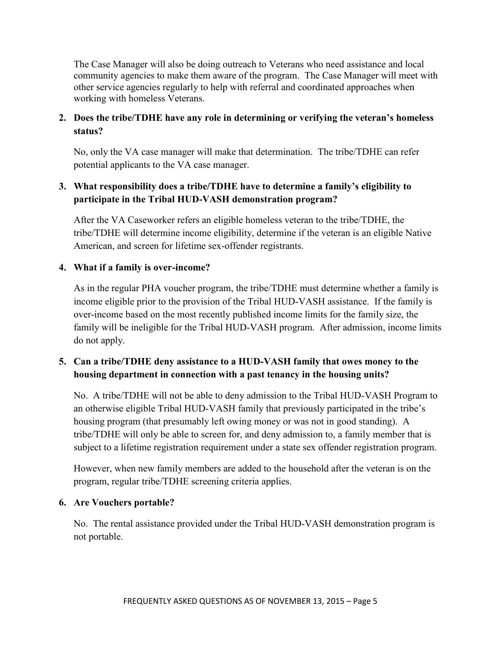The Case Manager will also be doing outreach to Veterans who need assistance and local community agencies to make them aware of the program. The Case Manager will meet with other service agencies regularly to help with referral and coordinated approaches when working with homeless Veterans.

# **2. Does the tribe/TDHE have any role in determining or verifying the veteran's homeless status?**

No, only the VA case manager will make that determination. The tribe/TDHE can refer potential applicants to the VA case manager.

# **3. What responsibility does a tribe/TDHE have to determine a family's eligibility to participate in the Tribal HUD-VASH demonstration program?**

After the VA Caseworker refers an eligible homeless veteran to the tribe/TDHE, the tribe/TDHE will determine income eligibility, determine if the veteran is an eligible Native American, and screen for lifetime sex-offender registrants.

## **4. What if a family is over-income?**

As in the regular PHA voucher program, the tribe/TDHE must determine whether a family is income eligible prior to the provision of the Tribal HUD-VASH assistance. If the family is over-income based on the most recently published income limits for the family size, the family will be ineligible for the Tribal HUD-VASH program. After admission, income limits do not apply.

# **5. Can a tribe/TDHE deny assistance to a HUD-VASH family that owes money to the housing department in connection with a past tenancy in the housing units?**

No. A tribe/TDHE will not be able to deny admission to the Tribal HUD-VASH Program to an otherwise eligible Tribal HUD-VASH family that previously participated in the tribe's housing program (that presumably left owing money or was not in good standing). A tribe/TDHE will only be able to screen for, and deny admission to, a family member that is subject to a lifetime registration requirement under a state sex offender registration program.

However, when new family members are added to the household after the veteran is on the program, regular tribe/TDHE screening criteria applies.

## **6. Are Vouchers portable?**

No. The rental assistance provided under the Tribal HUD-VASH demonstration program is not portable.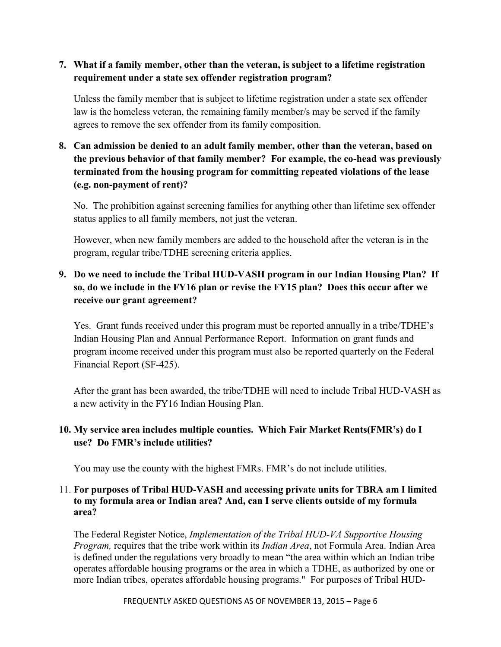## **7. What if a family member, other than the veteran, is subject to a lifetime registration requirement under a state sex offender registration program?**

Unless the family member that is subject to lifetime registration under a state sex offender law is the homeless veteran, the remaining family member/s may be served if the family agrees to remove the sex offender from its family composition.

# **8. Can admission be denied to an adult family member, other than the veteran, based on the previous behavior of that family member? For example, the co-head was previously terminated from the housing program for committing repeated violations of the lease (e.g. non-payment of rent)?**

No. The prohibition against screening families for anything other than lifetime sex offender status applies to all family members, not just the veteran.

However, when new family members are added to the household after the veteran is in the program, regular tribe/TDHE screening criteria applies.

# **9. Do we need to include the Tribal HUD-VASH program in our Indian Housing Plan? If so, do we include in the FY16 plan or revise the FY15 plan? Does this occur after we receive our grant agreement?**

Yes. Grant funds received under this program must be reported annually in a tribe/TDHE's Indian Housing Plan and Annual Performance Report. Information on grant funds and program income received under this program must also be reported quarterly on the Federal Financial Report (SF-425).

After the grant has been awarded, the tribe/TDHE will need to include Tribal HUD-VASH as a new activity in the FY16 Indian Housing Plan.

# **10. My service area includes multiple counties. Which Fair Market Rents(FMR's) do I use? Do FMR's include utilities?**

You may use the county with the highest FMRs. FMR's do not include utilities.

## 11. **For purposes of Tribal HUD-VASH and accessing private units for TBRA am I limited to my formula area or Indian area? And, can I serve clients outside of my formula area?**

The Federal Register Notice, *Implementation of the Tribal HUD-VA Supportive Housing Program,* requires that the tribe work within its *Indian Area*, not Formula Area. Indian Area is defined under the regulations very broadly to mean "the area within which an Indian tribe operates affordable housing programs or the area in which a TDHE, as authorized by one or more Indian tribes, operates affordable housing programs." For purposes of Tribal HUD-